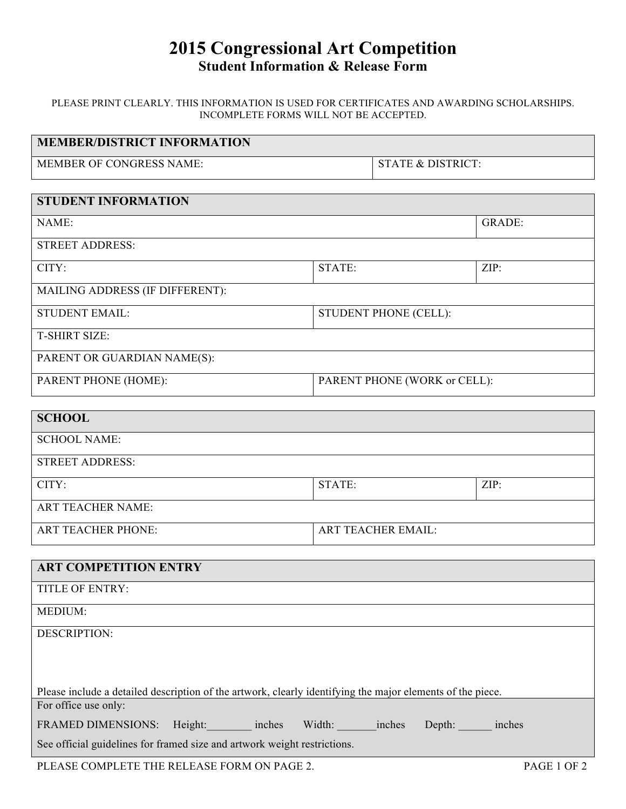# **2015 Congressional Art Competition Student Information & Release Form**

PLEASE PRINT CLEARLY. THIS INFORMATION IS USED FOR CERTIFICATES AND AWARDING SCHOLARSHIPS. INCOMPLETE FORMS WILL NOT BE ACCEPTED.

| <b>MEMBER/DISTRICT INFORMATION</b> |                       |                              |  |  |
|------------------------------------|-----------------------|------------------------------|--|--|
| MEMBER OF CONGRESS NAME:           |                       | <b>STATE &amp; DISTRICT:</b> |  |  |
|                                    |                       |                              |  |  |
| <b>STUDENT INFORMATION</b>         |                       |                              |  |  |
| NAME:                              |                       | <b>GRADE:</b>                |  |  |
| <b>STREET ADDRESS:</b>             |                       |                              |  |  |
| CITY:                              | STATE:                | ZIP:                         |  |  |
| MAILING ADDRESS (IF DIFFERENT):    |                       |                              |  |  |
| <b>STUDENT EMAIL:</b>              | STUDENT PHONE (CELL): |                              |  |  |
| <b>T-SHIRT SIZE:</b>               |                       |                              |  |  |
| PARENT OR GUARDIAN NAME(S):        |                       |                              |  |  |
| PARENT PHONE (HOME):               |                       | PARENT PHONE (WORK or CELL): |  |  |
| <b>SCHOOL</b>                      |                       |                              |  |  |
| <b>SCHOOL NAME:</b>                |                       |                              |  |  |
| <b>STREET ADDRESS:</b>             |                       |                              |  |  |
| CITY:                              | STATE:                | ZIP:                         |  |  |
| <b>ART TEACHER NAME:</b>           |                       |                              |  |  |
| <b>ART TEACHER PHONE:</b>          |                       | <b>ART TEACHER EMAIL:</b>    |  |  |
|                                    |                       |                              |  |  |
| <b>ART COMPETITION ENTRY</b>       |                       |                              |  |  |
| <b>TITLE OF ENTRY:</b>             |                       |                              |  |  |
| MEDIUM:                            |                       |                              |  |  |

DESCRIPTION:

| Please include a detailed description of the artwork, clearly identifying the major elements of the piece. |  |        |        |        |        |        |
|------------------------------------------------------------------------------------------------------------|--|--------|--------|--------|--------|--------|
| For office use only:                                                                                       |  |        |        |        |        |        |
| FRAMED DIMENSIONS: Height:                                                                                 |  | inches | Width: | inches | Depth: | inches |
| See official guidelines for framed size and artwork weight restrictions.                                   |  |        |        |        |        |        |
|                                                                                                            |  |        |        |        |        |        |

PLEASE COMPLETE THE RELEASE FORM ON PAGE 2. PAGE 1 OF 2